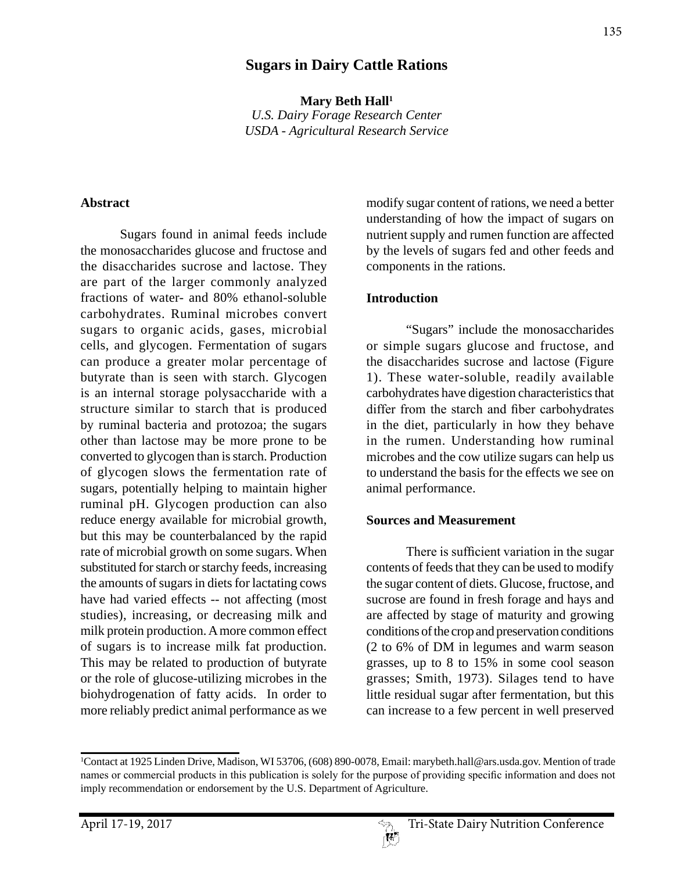## **Sugars in Dairy Cattle Rations**

Mary Beth Hall<sup>1</sup> *U.S. Dairy Forage Research Center USDA - Agricultural Research Service*

#### **Abstract**

Sugars found in animal feeds include the monosaccharides glucose and fructose and the disaccharides sucrose and lactose. They are part of the larger commonly analyzed fractions of water- and 80% ethanol-soluble carbohydrates. Ruminal microbes convert sugars to organic acids, gases, microbial cells, and glycogen. Fermentation of sugars can produce a greater molar percentage of butyrate than is seen with starch. Glycogen is an internal storage polysaccharide with a structure similar to starch that is produced by ruminal bacteria and protozoa; the sugars other than lactose may be more prone to be converted to glycogen than is starch. Production of glycogen slows the fermentation rate of sugars, potentially helping to maintain higher ruminal pH. Glycogen production can also reduce energy available for microbial growth, but this may be counterbalanced by the rapid rate of microbial growth on some sugars. When substituted for starch or starchy feeds, increasing the amounts of sugars in diets for lactating cows have had varied effects -- not affecting (most studies), increasing, or decreasing milk and milk protein production. A more common effect of sugars is to increase milk fat production. This may be related to production of butyrate or the role of glucose-utilizing microbes in the biohydrogenation of fatty acids. In order to more reliably predict animal performance as we

modify sugar content of rations, we need a better understanding of how the impact of sugars on nutrient supply and rumen function are affected by the levels of sugars fed and other feeds and components in the rations.

#### **Introduction**

"Sugars" include the monosaccharides or simple sugars glucose and fructose, and the disaccharides sucrose and lactose (Figure 1). These water-soluble, readily available carbohydrates have digestion characteristics that differ from the starch and fiber carbohydrates in the diet, particularly in how they behave in the rumen. Understanding how ruminal microbes and the cow utilize sugars can help us to understand the basis for the effects we see on animal performance.

#### **Sources and Measurement**

There is sufficient variation in the sugar contents of feeds that they can be used to modify the sugar content of diets. Glucose, fructose, and sucrose are found in fresh forage and hays and are affected by stage of maturity and growing conditions of the crop and preservation conditions (2 to 6% of DM in legumes and warm season grasses, up to 8 to 15% in some cool season grasses; Smith, 1973). Silages tend to have little residual sugar after fermentation, but this can increase to a few percent in well preserved

<sup>1</sup> Contact at 1925 Linden Drive, Madison, WI 53706, (608) 890-0078, Email: marybeth.hall@ars.usda.gov. Mention of trade names or commercial products in this publication is solely for the purpose of providing specific information and does not imply recommendation or endorsement by the U.S. Department of Agriculture.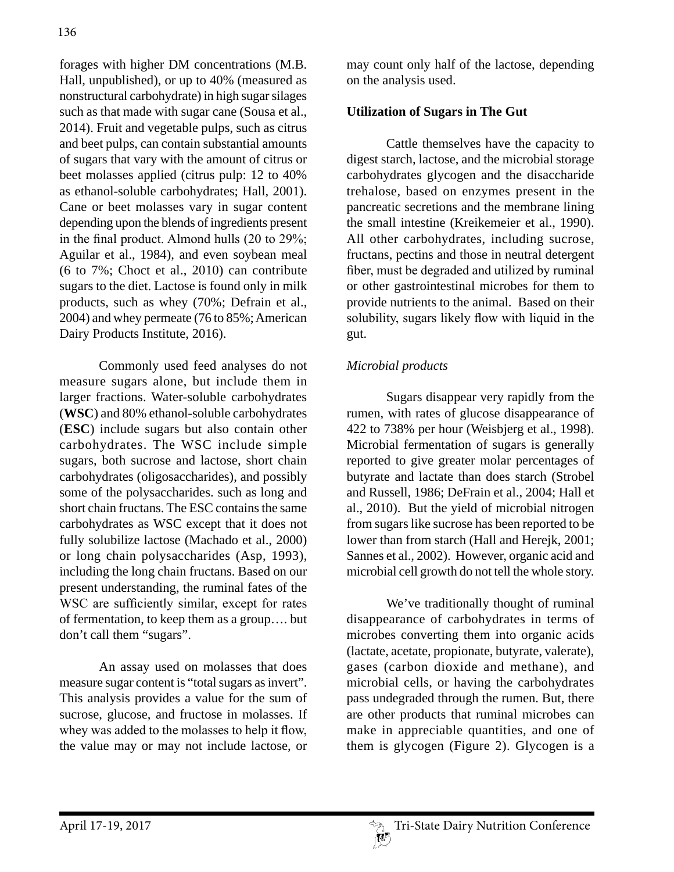forages with higher DM concentrations (M.B. Hall, unpublished), or up to 40% (measured as nonstructural carbohydrate) in high sugar silages such as that made with sugar cane (Sousa et al., 2014). Fruit and vegetable pulps, such as citrus and beet pulps, can contain substantial amounts of sugars that vary with the amount of citrus or beet molasses applied (citrus pulp: 12 to 40% as ethanol-soluble carbohydrates; Hall, 2001). Cane or beet molasses vary in sugar content depending upon the blends of ingredients present in the final product. Almond hulls (20 to 29%; Aguilar et al., 1984), and even soybean meal (6 to 7%; Choct et al., 2010) can contribute sugars to the diet. Lactose is found only in milk products, such as whey (70%; Defrain et al., 2004) and whey permeate (76 to 85%; American Dairy Products Institute, 2016).

Commonly used feed analyses do not measure sugars alone, but include them in larger fractions. Water-soluble carbohydrates (**WSC**) and 80% ethanol-soluble carbohydrates (**ESC**) include sugars but also contain other carbohydrates. The WSC include simple sugars, both sucrose and lactose, short chain carbohydrates (oligosaccharides), and possibly some of the polysaccharides. such as long and short chain fructans. The ESC contains the same carbohydrates as WSC except that it does not fully solubilize lactose (Machado et al., 2000) or long chain polysaccharides (Asp, 1993), including the long chain fructans. Based on our present understanding, the ruminal fates of the WSC are sufficiently similar, except for rates of fermentation, to keep them as a group…. but don't call them "sugars".

An assay used on molasses that does measure sugar content is "total sugars as invert". This analysis provides a value for the sum of sucrose, glucose, and fructose in molasses. If whey was added to the molasses to help it flow, the value may or may not include lactose, or may count only half of the lactose, depending on the analysis used.

## **Utilization of Sugars in The Gut**

Cattle themselves have the capacity to digest starch, lactose, and the microbial storage carbohydrates glycogen and the disaccharide trehalose, based on enzymes present in the pancreatic secretions and the membrane lining the small intestine (Kreikemeier et al., 1990). All other carbohydrates, including sucrose, fructans, pectins and those in neutral detergent fiber, must be degraded and utilized by ruminal or other gastrointestinal microbes for them to provide nutrients to the animal. Based on their solubility, sugars likely flow with liquid in the gut.

## *Microbial products*

Sugars disappear very rapidly from the rumen, with rates of glucose disappearance of 422 to 738% per hour (Weisbjerg et al., 1998). Microbial fermentation of sugars is generally reported to give greater molar percentages of butyrate and lactate than does starch (Strobel and Russell, 1986; DeFrain et al., 2004; Hall et al., 2010). But the yield of microbial nitrogen from sugars like sucrose has been reported to be lower than from starch (Hall and Herejk, 2001; Sannes et al., 2002). However, organic acid and microbial cell growth do not tell the whole story.

We've traditionally thought of ruminal disappearance of carbohydrates in terms of microbes converting them into organic acids (lactate, acetate, propionate, butyrate, valerate), gases (carbon dioxide and methane), and microbial cells, or having the carbohydrates pass undegraded through the rumen. But, there are other products that ruminal microbes can make in appreciable quantities, and one of them is glycogen (Figure 2). Glycogen is a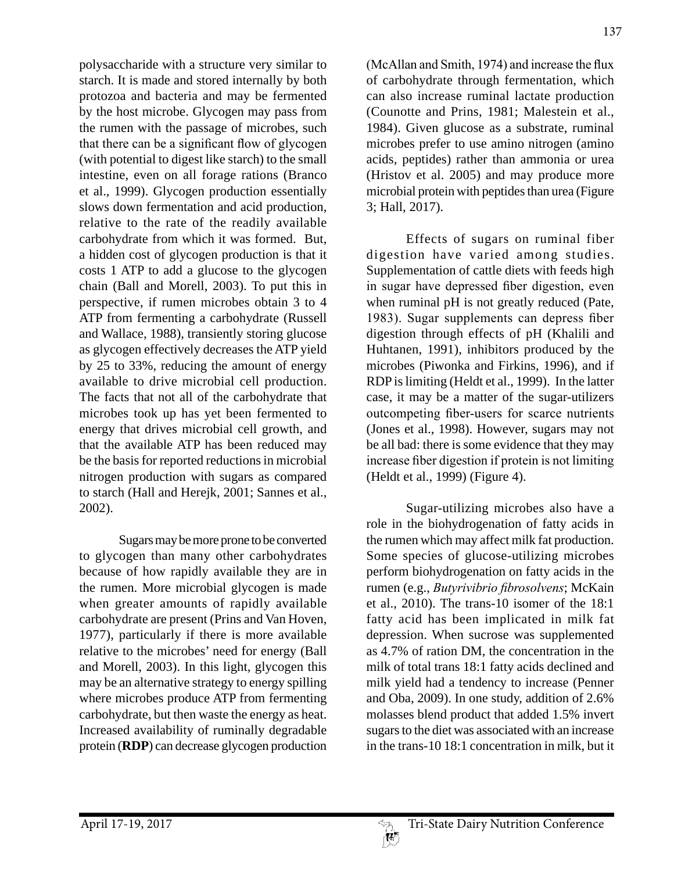polysaccharide with a structure very similar to starch. It is made and stored internally by both protozoa and bacteria and may be fermented by the host microbe. Glycogen may pass from the rumen with the passage of microbes, such that there can be a significant flow of glycogen (with potential to digest like starch) to the small intestine, even on all forage rations (Branco et al., 1999). Glycogen production essentially slows down fermentation and acid production, relative to the rate of the readily available carbohydrate from which it was formed. But, a hidden cost of glycogen production is that it costs 1 ATP to add a glucose to the glycogen chain (Ball and Morell, 2003). To put this in perspective, if rumen microbes obtain 3 to 4 ATP from fermenting a carbohydrate (Russell and Wallace, 1988), transiently storing glucose as glycogen effectively decreases the ATP yield by 25 to 33%, reducing the amount of energy available to drive microbial cell production. The facts that not all of the carbohydrate that microbes took up has yet been fermented to energy that drives microbial cell growth, and that the available ATP has been reduced may be the basis for reported reductions in microbial nitrogen production with sugars as compared to starch (Hall and Herejk, 2001; Sannes et al., 2002).

Sugars may be more prone to be converted to glycogen than many other carbohydrates because of how rapidly available they are in the rumen. More microbial glycogen is made when greater amounts of rapidly available carbohydrate are present (Prins and Van Hoven, 1977), particularly if there is more available relative to the microbes' need for energy (Ball and Morell, 2003). In this light, glycogen this may be an alternative strategy to energy spilling where microbes produce ATP from fermenting carbohydrate, but then waste the energy as heat. Increased availability of ruminally degradable protein (**RDP**) can decrease glycogen production

(McAllan and Smith, 1974) and increase the flux of carbohydrate through fermentation, which can also increase ruminal lactate production (Counotte and Prins, 1981; Malestein et al., 1984). Given glucose as a substrate, ruminal microbes prefer to use amino nitrogen (amino acids, peptides) rather than ammonia or urea (Hristov et al. 2005) and may produce more microbial protein with peptides than urea (Figure 3; Hall, 2017).

Effects of sugars on ruminal fiber digestion have varied among studies. Supplementation of cattle diets with feeds high in sugar have depressed fiber digestion, even when ruminal pH is not greatly reduced (Pate, 1983). Sugar supplements can depress fiber digestion through effects of pH (Khalili and Huhtanen, 1991), inhibitors produced by the microbes (Piwonka and Firkins, 1996), and if RDP is limiting (Heldt et al., 1999). In the latter case, it may be a matter of the sugar-utilizers outcompeting fiber-users for scarce nutrients (Jones et al., 1998). However, sugars may not be all bad: there is some evidence that they may increase fiber digestion if protein is not limiting (Heldt et al., 1999) (Figure 4).

Sugar-utilizing microbes also have a role in the biohydrogenation of fatty acids in the rumen which may affect milk fat production. Some species of glucose-utilizing microbes perform biohydrogenation on fatty acids in the rumen (e.g., *Butyrivibrio fibrosolvens*; McKain et al., 2010). The trans-10 isomer of the 18:1 fatty acid has been implicated in milk fat depression. When sucrose was supplemented as 4.7% of ration DM, the concentration in the milk of total trans 18:1 fatty acids declined and milk yield had a tendency to increase (Penner and Oba, 2009). In one study, addition of 2.6% molasses blend product that added 1.5% invert sugars to the diet was associated with an increase in the trans-10 18:1 concentration in milk, but it

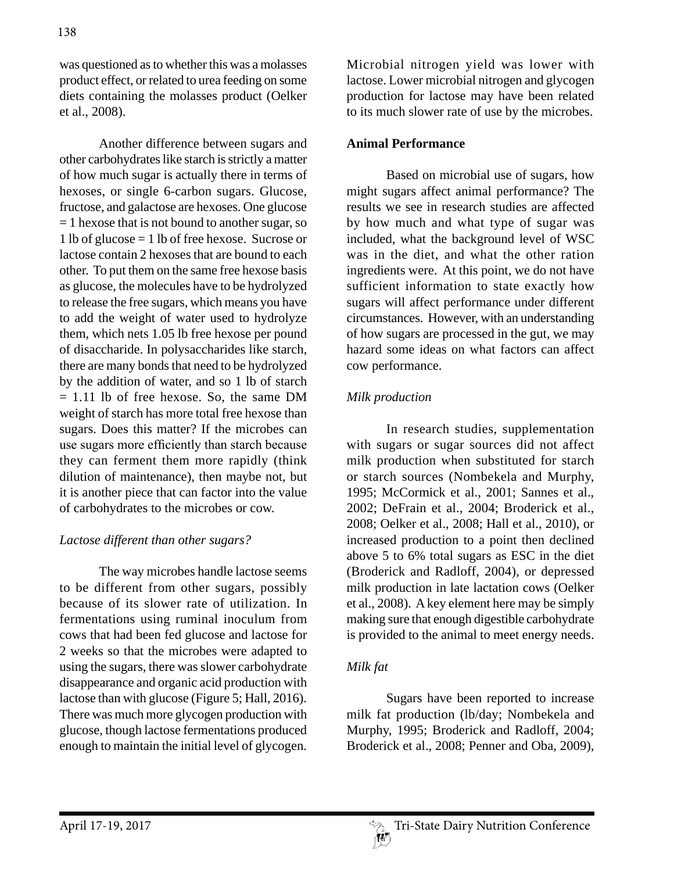was questioned as to whether this was a molasses product effect, or related to urea feeding on some diets containing the molasses product (Oelker et al., 2008).

Another difference between sugars and other carbohydrates like starch is strictly a matter of how much sugar is actually there in terms of hexoses, or single 6-carbon sugars. Glucose, fructose, and galactose are hexoses. One glucose  $= 1$  hexose that is not bound to another sugar, so 1 lb of glucose = 1 lb of free hexose. Sucrose or lactose contain 2 hexoses that are bound to each other. To put them on the same free hexose basis as glucose, the molecules have to be hydrolyzed to release the free sugars, which means you have to add the weight of water used to hydrolyze them, which nets 1.05 lb free hexose per pound of disaccharide. In polysaccharides like starch, there are many bonds that need to be hydrolyzed by the addition of water, and so 1 lb of starch  $= 1.11$  lb of free hexose. So, the same DM weight of starch has more total free hexose than sugars. Does this matter? If the microbes can use sugars more efficiently than starch because they can ferment them more rapidly (think dilution of maintenance), then maybe not, but it is another piece that can factor into the value of carbohydrates to the microbes or cow.

## *Lactose different than other sugars?*

The way microbes handle lactose seems to be different from other sugars, possibly because of its slower rate of utilization. In fermentations using ruminal inoculum from cows that had been fed glucose and lactose for 2 weeks so that the microbes were adapted to using the sugars, there was slower carbohydrate disappearance and organic acid production with lactose than with glucose (Figure 5; Hall, 2016). There was much more glycogen production with glucose, though lactose fermentations produced enough to maintain the initial level of glycogen.

Microbial nitrogen yield was lower with lactose. Lower microbial nitrogen and glycogen production for lactose may have been related to its much slower rate of use by the microbes.

#### **Animal Performance**

Based on microbial use of sugars, how might sugars affect animal performance? The results we see in research studies are affected by how much and what type of sugar was included, what the background level of WSC was in the diet, and what the other ration ingredients were. At this point, we do not have sufficient information to state exactly how sugars will affect performance under different circumstances. However, with an understanding of how sugars are processed in the gut, we may hazard some ideas on what factors can affect cow performance.

## *Milk production*

In research studies, supplementation with sugars or sugar sources did not affect milk production when substituted for starch or starch sources (Nombekela and Murphy, 1995; McCormick et al., 2001; Sannes et al., 2002; DeFrain et al., 2004; Broderick et al., 2008; Oelker et al., 2008; Hall et al., 2010), or increased production to a point then declined above 5 to 6% total sugars as ESC in the diet (Broderick and Radloff, 2004), or depressed milk production in late lactation cows (Oelker et al., 2008). A key element here may be simply making sure that enough digestible carbohydrate is provided to the animal to meet energy needs.

## *Milk fat*

Sugars have been reported to increase milk fat production (lb/day; Nombekela and Murphy, 1995; Broderick and Radloff, 2004; Broderick et al., 2008; Penner and Oba, 2009),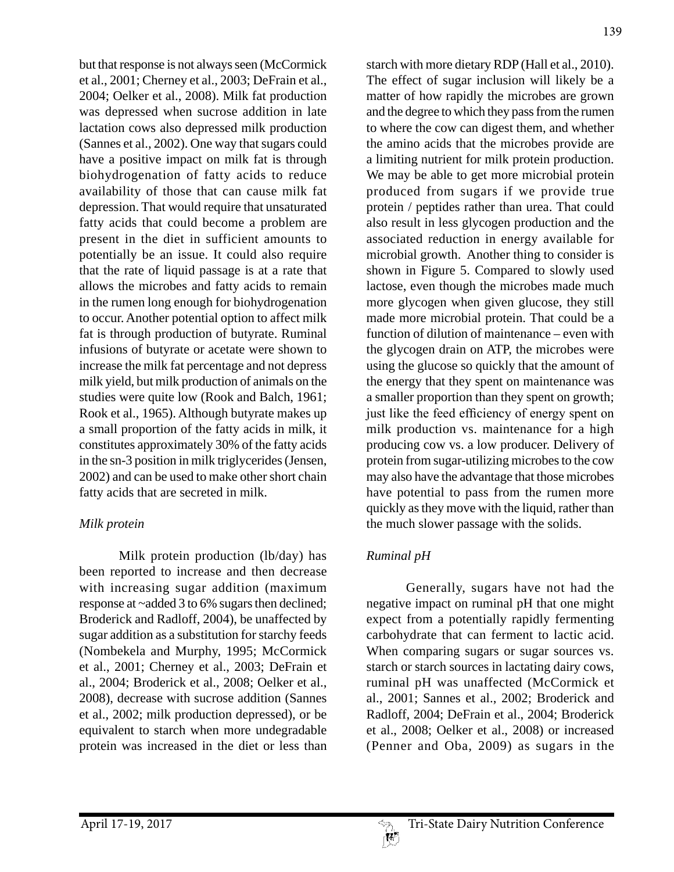but that response is not always seen (McCormick et al., 2001; Cherney et al., 2003; DeFrain et al., 2004; Oelker et al., 2008). Milk fat production was depressed when sucrose addition in late lactation cows also depressed milk production (Sannes et al., 2002). One way that sugars could have a positive impact on milk fat is through biohydrogenation of fatty acids to reduce availability of those that can cause milk fat depression. That would require that unsaturated fatty acids that could become a problem are present in the diet in sufficient amounts to potentially be an issue. It could also require that the rate of liquid passage is at a rate that allows the microbes and fatty acids to remain in the rumen long enough for biohydrogenation to occur. Another potential option to affect milk fat is through production of butyrate. Ruminal infusions of butyrate or acetate were shown to increase the milk fat percentage and not depress milk yield, but milk production of animals on the studies were quite low (Rook and Balch, 1961; Rook et al., 1965). Although butyrate makes up a small proportion of the fatty acids in milk, it constitutes approximately 30% of the fatty acids in the sn-3 position in milk triglycerides (Jensen, 2002) and can be used to make other short chain fatty acids that are secreted in milk.

## *Milk protein*

Milk protein production (lb/day) has been reported to increase and then decrease with increasing sugar addition (maximum response at ~added 3 to 6% sugars then declined; Broderick and Radloff, 2004), be unaffected by sugar addition as a substitution for starchy feeds (Nombekela and Murphy, 1995; McCormick et al., 2001; Cherney et al., 2003; DeFrain et al., 2004; Broderick et al., 2008; Oelker et al., 2008), decrease with sucrose addition (Sannes et al., 2002; milk production depressed), or be equivalent to starch when more undegradable protein was increased in the diet or less than starch with more dietary RDP (Hall et al., 2010). The effect of sugar inclusion will likely be a matter of how rapidly the microbes are grown and the degree to which they pass from the rumen to where the cow can digest them, and whether the amino acids that the microbes provide are a limiting nutrient for milk protein production. We may be able to get more microbial protein produced from sugars if we provide true protein / peptides rather than urea. That could also result in less glycogen production and the associated reduction in energy available for microbial growth. Another thing to consider is shown in Figure 5. Compared to slowly used lactose, even though the microbes made much more glycogen when given glucose, they still made more microbial protein. That could be a function of dilution of maintenance – even with the glycogen drain on ATP, the microbes were using the glucose so quickly that the amount of the energy that they spent on maintenance was a smaller proportion than they spent on growth; just like the feed efficiency of energy spent on milk production vs. maintenance for a high producing cow vs. a low producer. Delivery of protein from sugar-utilizing microbes to the cow may also have the advantage that those microbes have potential to pass from the rumen more quickly as they move with the liquid, rather than the much slower passage with the solids.

## *Ruminal pH*

Generally, sugars have not had the negative impact on ruminal pH that one might expect from a potentially rapidly fermenting carbohydrate that can ferment to lactic acid. When comparing sugars or sugar sources vs. starch or starch sources in lactating dairy cows, ruminal pH was unaffected (McCormick et al., 2001; Sannes et al., 2002; Broderick and Radloff, 2004; DeFrain et al., 2004; Broderick et al., 2008; Oelker et al., 2008) or increased (Penner and Oba, 2009) as sugars in the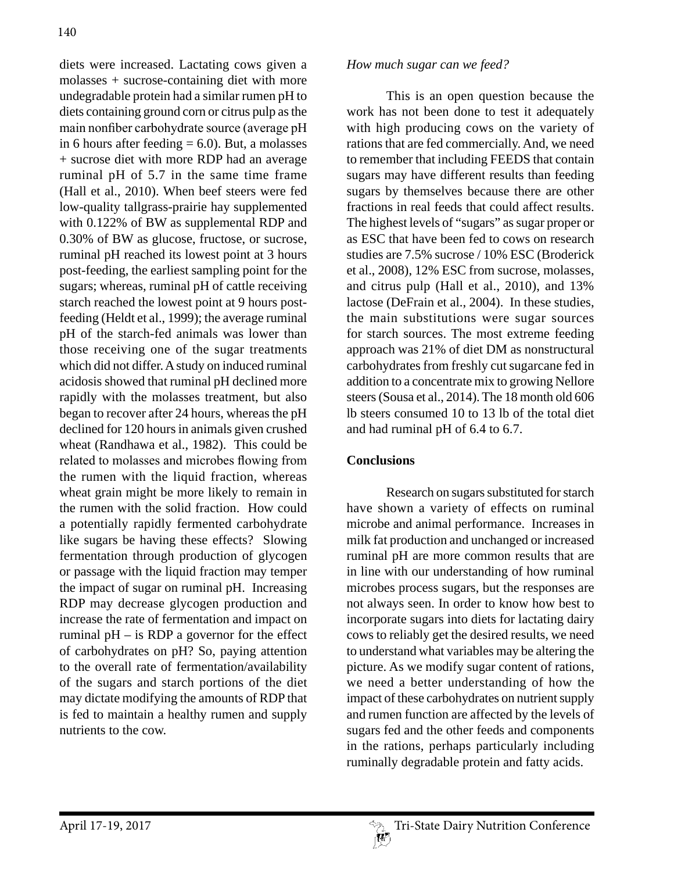diets were increased. Lactating cows given a molasses + sucrose-containing diet with more undegradable protein had a similar rumen pH to diets containing ground corn or citrus pulp as the main nonfiber carbohydrate source (average pH in 6 hours after feeding  $= 6.0$ ). But, a molasses + sucrose diet with more RDP had an average ruminal pH of 5.7 in the same time frame (Hall et al., 2010). When beef steers were fed low-quality tallgrass-prairie hay supplemented with 0.122% of BW as supplemental RDP and 0.30% of BW as glucose, fructose, or sucrose, ruminal pH reached its lowest point at 3 hours post-feeding, the earliest sampling point for the sugars; whereas, ruminal pH of cattle receiving starch reached the lowest point at 9 hours postfeeding (Heldt et al., 1999); the average ruminal pH of the starch-fed animals was lower than those receiving one of the sugar treatments which did not differ. A study on induced ruminal acidosis showed that ruminal pH declined more rapidly with the molasses treatment, but also began to recover after 24 hours, whereas the pH declined for 120 hours in animals given crushed wheat (Randhawa et al., 1982). This could be related to molasses and microbes flowing from the rumen with the liquid fraction, whereas wheat grain might be more likely to remain in the rumen with the solid fraction. How could a potentially rapidly fermented carbohydrate like sugars be having these effects? Slowing fermentation through production of glycogen or passage with the liquid fraction may temper the impact of sugar on ruminal pH. Increasing RDP may decrease glycogen production and increase the rate of fermentation and impact on ruminal pH – is RDP a governor for the effect of carbohydrates on pH? So, paying attention to the overall rate of fermentation/availability of the sugars and starch portions of the diet may dictate modifying the amounts of RDP that is fed to maintain a healthy rumen and supply nutrients to the cow.

#### *How much sugar can we feed?*

This is an open question because the work has not been done to test it adequately with high producing cows on the variety of rations that are fed commercially. And, we need to remember that including FEEDS that contain sugars may have different results than feeding sugars by themselves because there are other fractions in real feeds that could affect results. The highest levels of "sugars" as sugar proper or as ESC that have been fed to cows on research studies are 7.5% sucrose / 10% ESC (Broderick et al., 2008), 12% ESC from sucrose, molasses, and citrus pulp (Hall et al., 2010), and 13% lactose (DeFrain et al., 2004). In these studies, the main substitutions were sugar sources for starch sources. The most extreme feeding approach was 21% of diet DM as nonstructural carbohydrates from freshly cut sugarcane fed in addition to a concentrate mix to growing Nellore steers (Sousa et al., 2014). The 18 month old 606 lb steers consumed 10 to 13 lb of the total diet and had ruminal pH of 6.4 to 6.7.

## **Conclusions**

Research on sugars substituted for starch have shown a variety of effects on ruminal microbe and animal performance. Increases in milk fat production and unchanged or increased ruminal pH are more common results that are in line with our understanding of how ruminal microbes process sugars, but the responses are not always seen. In order to know how best to incorporate sugars into diets for lactating dairy cows to reliably get the desired results, we need to understand what variables may be altering the picture. As we modify sugar content of rations, we need a better understanding of how the impact of these carbohydrates on nutrient supply and rumen function are affected by the levels of sugars fed and the other feeds and components in the rations, perhaps particularly including ruminally degradable protein and fatty acids.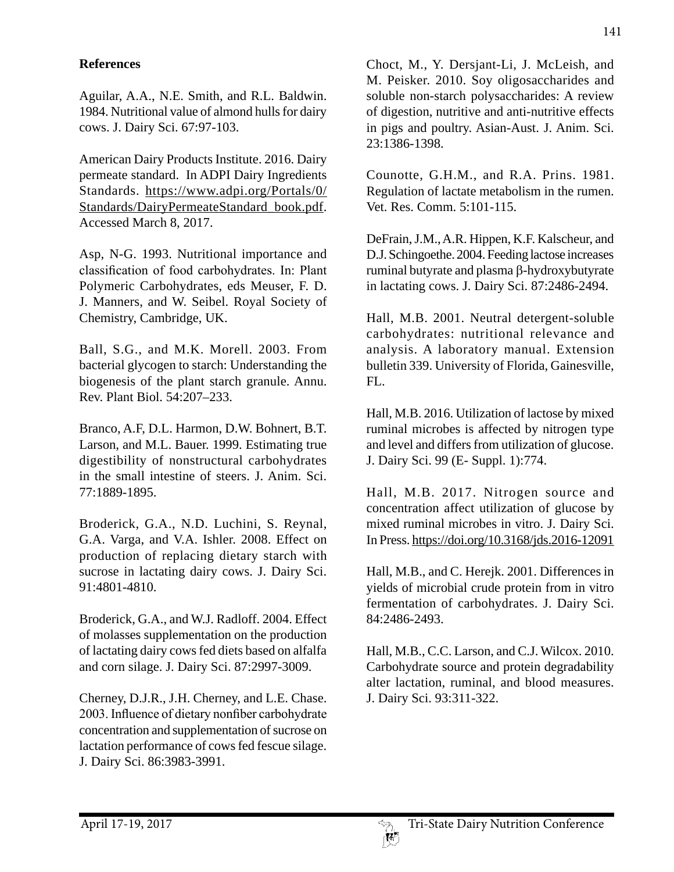# **References**

Aguilar, A.A., N.E. Smith, and R.L. Baldwin. 1984. Nutritional value of almond hulls for dairy cows. J. Dairy Sci. 67:97-103.

American Dairy Products Institute. 2016. Dairy permeate standard. In ADPI Dairy Ingredients Standards. https://www.adpi.org/Portals/0/ Standards/DairyPermeateStandard\_book.pdf. Accessed March 8, 2017.

Asp, N-G. 1993. Nutritional importance and classification of food carbohydrates. In: Plant Polymeric Carbohydrates, eds Meuser, F. D. J. Manners, and W. Seibel. Royal Society of Chemistry, Cambridge, UK.

Ball, S.G., and M.K. Morell. 2003. From bacterial glycogen to starch: Understanding the biogenesis of the plant starch granule. Annu. Rev. Plant Biol. 54:207–233.

Branco, A.F, D.L. Harmon, D.W. Bohnert, B.T. Larson, and M.L. Bauer. 1999. Estimating true digestibility of nonstructural carbohydrates in the small intestine of steers. J. Anim. Sci. 77:1889-1895.

Broderick, G.A., N.D. Luchini, S. Reynal, G.A. Varga, and V.A. Ishler. 2008. Effect on production of replacing dietary starch with sucrose in lactating dairy cows. J. Dairy Sci. 91:4801-4810.

Broderick, G.A., and W.J. Radloff. 2004. Effect of molasses supplementation on the production of lactating dairy cows fed diets based on alfalfa and corn silage. J. Dairy Sci. 87:2997-3009.

Cherney, D.J.R., J.H. Cherney, and L.E. Chase. 2003. Influence of dietary nonfiber carbohydrate concentration and supplementation of sucrose on lactation performance of cows fed fescue silage. J. Dairy Sci. 86:3983-3991.

Choct, M., Y. Dersjant-Li, J. McLeish, and M. Peisker. 2010. Soy oligosaccharides and soluble non-starch polysaccharides: A review of digestion, nutritive and anti-nutritive effects in pigs and poultry. Asian-Aust. J. Anim. Sci. 23:1386-1398.

Counotte, G.H.M., and R.A. Prins. 1981. Regulation of lactate metabolism in the rumen. Vet. Res. Comm. 5:101-115.

DeFrain, J.M., A.R. Hippen, K.F. Kalscheur, and D.J. Schingoethe. 2004. Feeding lactose increases ruminal butyrate and plasma  $\beta$ -hydroxybutyrate in lactating cows. J. Dairy Sci. 87:2486-2494.

Hall, M.B. 2001. Neutral detergent-soluble carbohydrates: nutritional relevance and analysis. A laboratory manual. Extension bulletin 339. University of Florida, Gainesville, FL.

Hall, M.B. 2016. Utilization of lactose by mixed ruminal microbes is affected by nitrogen type and level and differs from utilization of glucose. J. Dairy Sci. 99 (E- Suppl. 1):774.

Hall, M.B. 2017. Nitrogen source and concentration affect utilization of glucose by mixed ruminal microbes in vitro. J. Dairy Sci. In Press. https://doi.org/10.3168/jds.2016-12091

Hall, M.B., and C. Herejk. 2001. Differences in yields of microbial crude protein from in vitro fermentation of carbohydrates. J. Dairy Sci. 84:2486-2493.

Hall, M.B., C.C. Larson, and C.J. Wilcox. 2010. Carbohydrate source and protein degradability alter lactation, ruminal, and blood measures. J. Dairy Sci. 93:311-322.

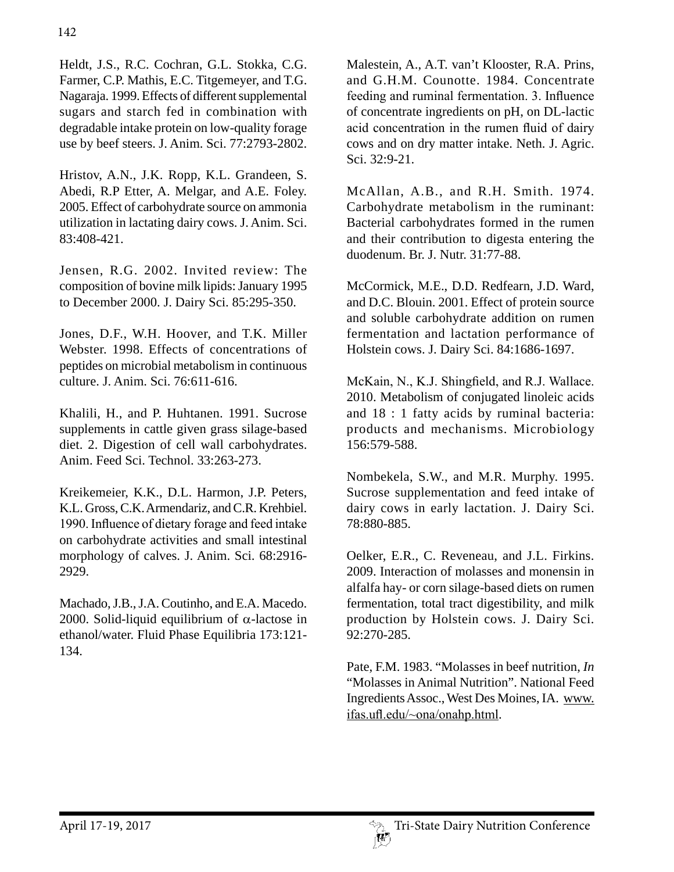Heldt, J.S., R.C. Cochran, G.L. Stokka, C.G. Farmer, C.P. Mathis, E.C. Titgemeyer, and T.G. Nagaraja. 1999. Effects of different supplemental sugars and starch fed in combination with degradable intake protein on low-quality forage use by beef steers. J. Anim. Sci. 77:2793-2802.

Hristov, A.N., J.K. Ropp, K.L. Grandeen, S. Abedi, R.P Etter, A. Melgar, and A.E. Foley. 2005. Effect of carbohydrate source on ammonia utilization in lactating dairy cows. J. Anim. Sci. 83:408-421.

Jensen, R.G. 2002. Invited review: The composition of bovine milk lipids: January 1995 to December 2000. J. Dairy Sci. 85:295-350.

Jones, D.F., W.H. Hoover, and T.K. Miller Webster. 1998. Effects of concentrations of peptides on microbial metabolism in continuous culture. J. Anim. Sci. 76:611-616.

Khalili, H., and P. Huhtanen. 1991. Sucrose supplements in cattle given grass silage-based diet. 2. Digestion of cell wall carbohydrates. Anim. Feed Sci. Technol. 33:263-273.

Kreikemeier, K.K., D.L. Harmon, J.P. Peters, K.L. Gross, C.K. Armendariz, and C.R. Krehbiel. 1990. Influence of dietary forage and feed intake on carbohydrate activities and small intestinal morphology of calves. J. Anim. Sci. 68:2916- 2929.

Machado, J.B., J.A. Coutinho, and E.A. Macedo. 2000. Solid-liquid equilibrium of  $\alpha$ -lactose in ethanol/water. Fluid Phase Equilibria 173:121- 134.

Malestein, A., A.T. van't Klooster, R.A. Prins, and G.H.M. Counotte. 1984. Concentrate feeding and ruminal fermentation. 3. Influence of concentrate ingredients on pH, on DL-lactic acid concentration in the rumen fluid of dairy cows and on dry matter intake. Neth. J. Agric. Sci. 32:9-21.

McAllan, A.B., and R.H. Smith. 1974. Carbohydrate metabolism in the ruminant: Bacterial carbohydrates formed in the rumen and their contribution to digesta entering the duodenum. Br. J. Nutr. 31:77-88.

McCormick, M.E., D.D. Redfearn, J.D. Ward, and D.C. Blouin. 2001. Effect of protein source and soluble carbohydrate addition on rumen fermentation and lactation performance of Holstein cows. J. Dairy Sci. 84:1686-1697.

McKain, N., K.J. Shingfield, and R.J. Wallace. 2010. Metabolism of conjugated linoleic acids and 18 : 1 fatty acids by ruminal bacteria: products and mechanisms. Microbiology 156:579-588.

Nombekela, S.W., and M.R. Murphy. 1995. Sucrose supplementation and feed intake of dairy cows in early lactation. J. Dairy Sci. 78:880-885.

Oelker, E.R., C. Reveneau, and J.L. Firkins. 2009. Interaction of molasses and monensin in alfalfa hay- or corn silage-based diets on rumen fermentation, total tract digestibility, and milk production by Holstein cows. J. Dairy Sci. 92:270-285.

Pate, F.M. 1983. "Molasses in beef nutrition, *In* "Molasses in Animal Nutrition". National Feed Ingredients Assoc., West Des Moines, IA. www. ifas.ufl.edu/~ona/onahp.html.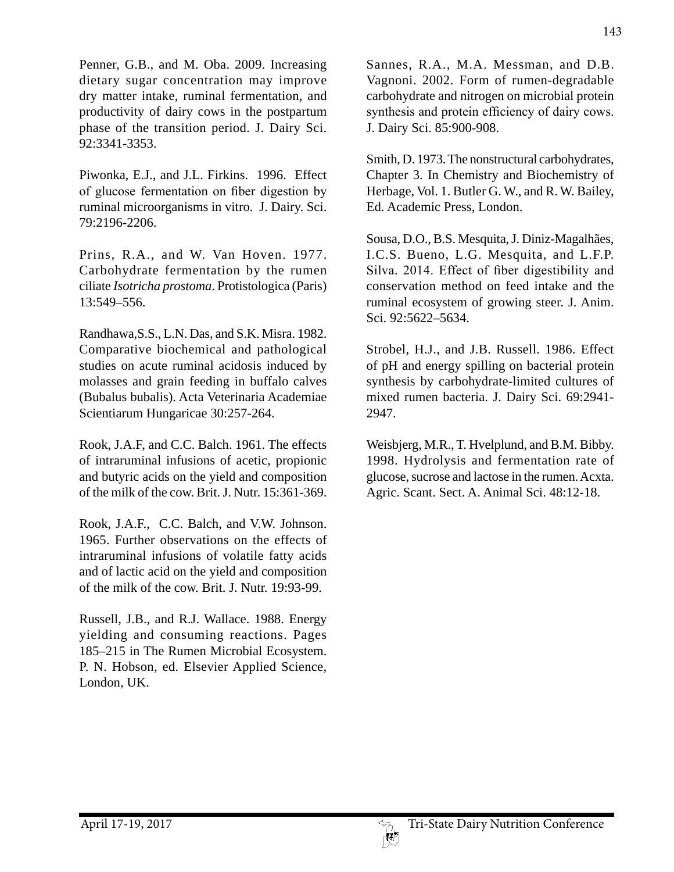Penner, G.B., and M. Oba. 2009. Increasing dietary sugar concentration may improve dry matter intake, ruminal fermentation, and productivity of dairy cows in the postpartum phase of the transition period. J. Dairy Sci. 92:3341-3353.

Piwonka, E.J., and J.L. Firkins. 1996. Effect of glucose fermentation on fiber digestion by ruminal microorganisms in vitro. J. Dairy. Sci. 79:2196-2206.

Prins, R.A., and W. Van Hoven. 1977. Carbohydrate fermentation by the rumen ciliate *Isotricha prostoma*. Protistologica (Paris) 13:549–556.

Randhawa,S.S., L.N. Das, and S.K. Misra. 1982. Comparative biochemical and pathological studies on acute ruminal acidosis induced by molasses and grain feeding in buffalo calves (Bubalus bubalis). Acta Veterinaria Academiae Scientiarum Hungaricae 30:257-264.

Rook, J.A.F, and C.C. Balch. 1961. The effects of intraruminal infusions of acetic, propionic and butyric acids on the yield and composition of the milk of the cow. Brit. J. Nutr. 15:361-369.

Rook, J.A.F., C.C. Balch, and V.W. Johnson. 1965. Further observations on the effects of intraruminal infusions of volatile fatty acids and of lactic acid on the yield and composition of the milk of the cow. Brit. J. Nutr. 19:93-99.

Russell, J.B., and R.J. Wallace. 1988. Energy yielding and consuming reactions. Pages 185–215 in The Rumen Microbial Ecosystem. P. N. Hobson, ed. Elsevier Applied Science, London, UK.

Sannes, R.A., M.A. Messman, and D.B. Vagnoni. 2002. Form of rumen-degradable carbohydrate and nitrogen on microbial protein synthesis and protein efficiency of dairy cows. J. Dairy Sci. 85:900-908.

Smith, D. 1973. The nonstructural carbohydrates, Chapter 3. In Chemistry and Biochemistry of Herbage, Vol. 1. Butler G. W., and R. W. Bailey, Ed. Academic Press, London.

Sousa, D.O., B.S. Mesquita, J. Diniz-Magalhães, I.C.S. Bueno, L.G. Mesquita, and L.F.P. Silva. 2014. Effect of fiber digestibility and conservation method on feed intake and the ruminal ecosystem of growing steer. J. Anim. Sci. 92:5622–5634.

Strobel, H.J., and J.B. Russell. 1986. Effect of pH and energy spilling on bacterial protein synthesis by carbohydrate-limited cultures of mixed rumen bacteria. J. Dairy Sci. 69:2941- 2947.

Weisbjerg, M.R., T. Hvelplund, and B.M. Bibby. 1998. Hydrolysis and fermentation rate of glucose, sucrose and lactose in the rumen. Acxta. Agric. Scant. Sect. A. Animal Sci. 48:12-18.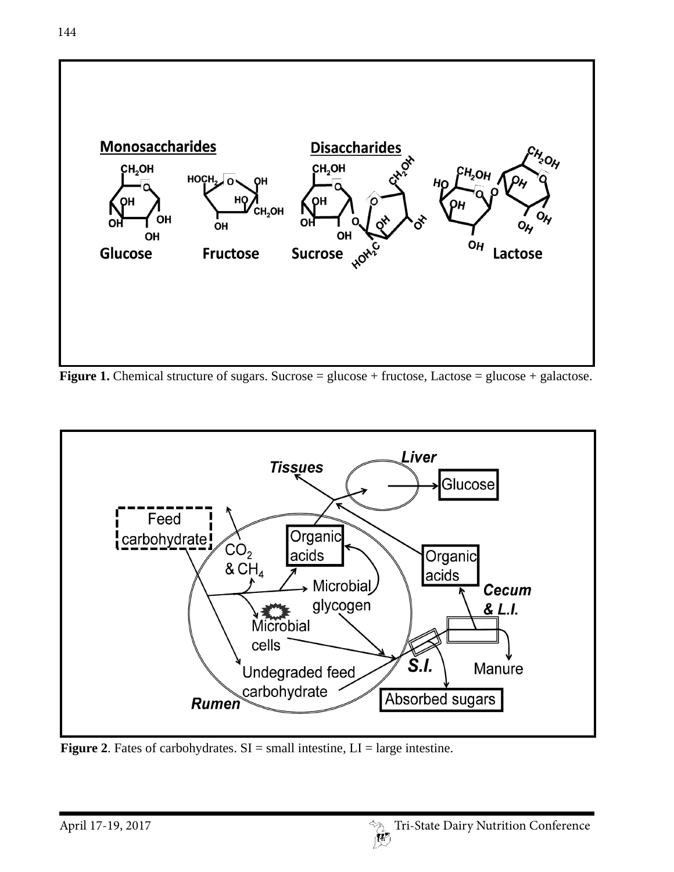

**Figure 1.** Chemical structure of sugars. Sucrose = glucose + fructose, Lactose = glucose + galactose.



**Figure 2.** Fates of carbohydrates.  $SI = small$  intestine,  $LI = large$  intestine.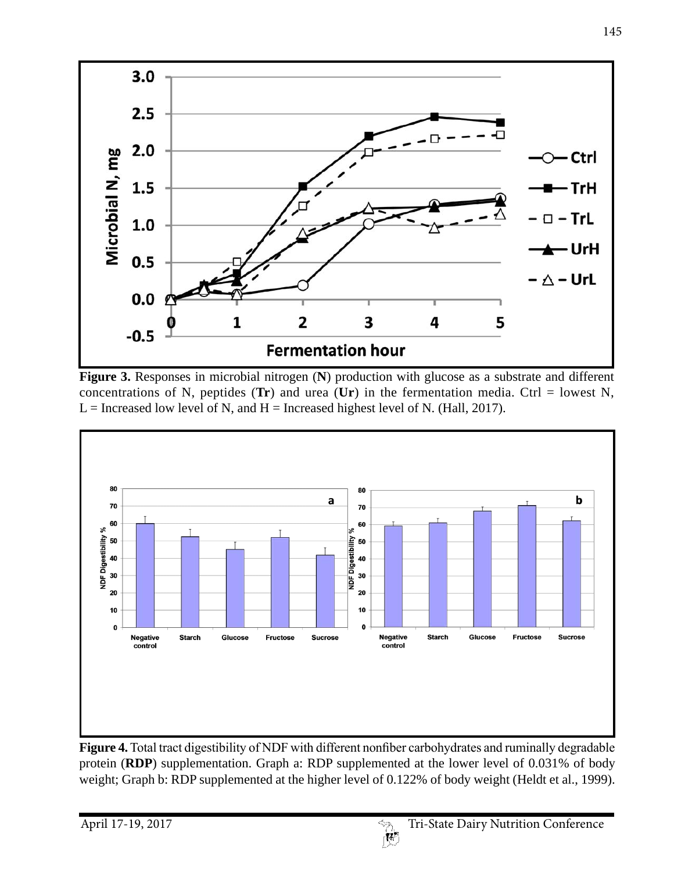

**Figure 3.** Responses in microbial nitrogen (**N**) production with glucose as a substrate and different concentrations of N, peptides  $(Tr)$  and urea  $(Ur)$  in the fermentation media. Ctrl = lowest N,  $L =$  Increased low level of N, and H = Increased highest level of N. (Hall, 2017).



**Figure 4.** Total tract digestibility of NDF with different nonfiber carbohydrates and ruminally degradable protein (**RDP**) supplementation. Graph a: RDP supplemented at the lower level of 0.031% of body weight; Graph b: RDP supplemented at the higher level of 0.122% of body weight (Heldt et al., 1999).